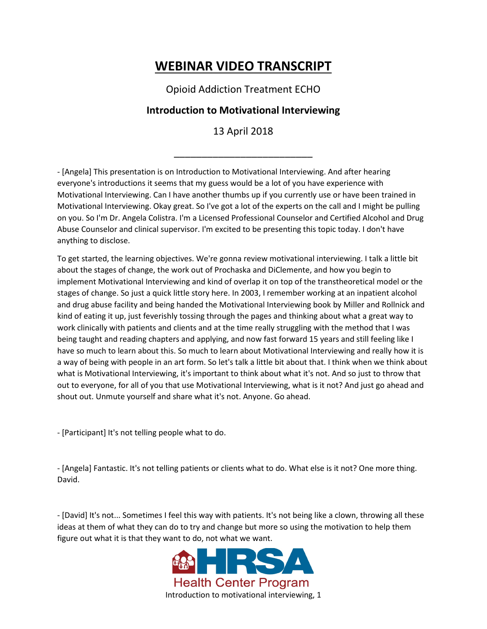## **WEBINAR VIDEO TRANSCRIPT**

Opioid Addiction Treatment ECHO

## **Introduction to Motivational Interviewing**

13 April 2018

\_\_\_\_\_\_\_\_\_\_\_\_\_\_\_\_\_\_\_\_\_\_\_\_\_

- [Angela] This presentation is on Introduction to Motivational Interviewing. And after hearing everyone's introductions it seems that my guess would be a lot of you have experience with Motivational Interviewing. Can I have another thumbs up if you currently use or have been trained in Motivational Interviewing. Okay great. So I've got a lot of the experts on the call and I might be pulling on you. So I'm Dr. Angela Colistra. I'm a Licensed Professional Counselor and Certified Alcohol and Drug Abuse Counselor and clinical supervisor. I'm excited to be presenting this topic today. I don't have anything to disclose.

To get started, the learning objectives. We're gonna review motivational interviewing. I talk a little bit about the stages of change, the work out of Prochaska and DiClemente, and how you begin to implement Motivational Interviewing and kind of overlap it on top of the transtheoretical model or the stages of change. So just a quick little story here. In 2003, I remember working at an inpatient alcohol and drug abuse facility and being handed the Motivational Interviewing book by Miller and Rollnick and kind of eating it up, just feverishly tossing through the pages and thinking about what a great way to work clinically with patients and clients and at the time really struggling with the method that I was being taught and reading chapters and applying, and now fast forward 15 years and still feeling like I have so much to learn about this. So much to learn about Motivational Interviewing and really how it is a way of being with people in an art form. So let's talk a little bit about that. I think when we think about what is Motivational Interviewing, it's important to think about what it's not. And so just to throw that out to everyone, for all of you that use Motivational Interviewing, what is it not? And just go ahead and shout out. Unmute yourself and share what it's not. Anyone. Go ahead.

- [Participant] It's not telling people what to do.

- [Angela] Fantastic. It's not telling patients or clients what to do. What else is it not? One more thing. David.

- [David] It's not... Sometimes I feel this way with patients. It's not being like a clown, throwing all these ideas at them of what they can do to try and change but more so using the motivation to help them figure out what it is that they want to do, not what we want.

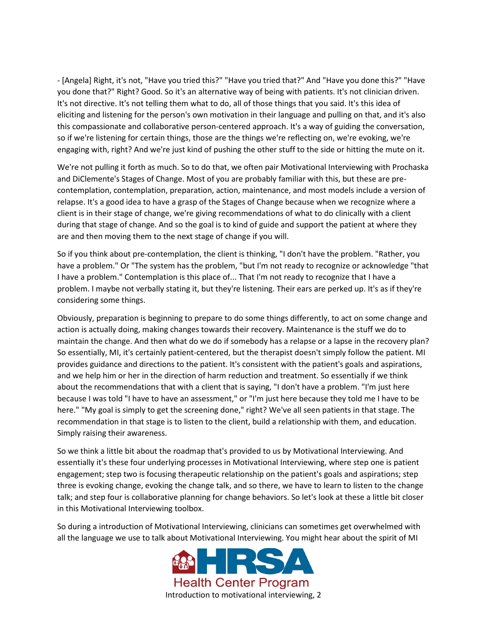- [Angela] Right, it's not, "Have you tried this?" "Have you tried that?" And "Have you done this?" "Have you done that?" Right? Good. So it's an alternative way of being with patients. It's not clinician driven. It's not directive. It's not telling them what to do, all of those things that you said. It's this idea of eliciting and listening for the person's own motivation in their language and pulling on that, and it's also this compassionate and collaborative person-centered approach. It's a way of guiding the conversation, so if we're listening for certain things, those are the things we're reflecting on, we're evoking, we're engaging with, right? And we're just kind of pushing the other stuff to the side or hitting the mute on it.

We're not pulling it forth as much. So to do that, we often pair Motivational Interviewing with Prochaska and DiClemente's Stages of Change. Most of you are probably familiar with this, but these are precontemplation, contemplation, preparation, action, maintenance, and most models include a version of relapse. It's a good idea to have a grasp of the Stages of Change because when we recognize where a client is in their stage of change, we're giving recommendations of what to do clinically with a client during that stage of change. And so the goal is to kind of guide and support the patient at where they are and then moving them to the next stage of change if you will.

So if you think about pre-contemplation, the client is thinking, "I don't have the problem. "Rather, you have a problem." Or "The system has the problem, "but I'm not ready to recognize or acknowledge "that I have a problem." Contemplation is this place of... That I'm not ready to recognize that I have a problem. I maybe not verbally stating it, but they're listening. Their ears are perked up. It's as if they're considering some things.

Obviously, preparation is beginning to prepare to do some things differently, to act on some change and action is actually doing, making changes towards their recovery. Maintenance is the stuff we do to maintain the change. And then what do we do if somebody has a relapse or a lapse in the recovery plan? So essentially, MI, it's certainly patient-centered, but the therapist doesn't simply follow the patient. MI provides guidance and directions to the patient. It's consistent with the patient's goals and aspirations, and we help him or her in the direction of harm reduction and treatment. So essentially if we think about the recommendations that with a client that is saying, "I don't have a problem. "I'm just here because I was told "I have to have an assessment," or "I'm just here because they told me I have to be here." "My goal is simply to get the screening done," right? We've all seen patients in that stage. The recommendation in that stage is to listen to the client, build a relationship with them, and education. Simply raising their awareness.

So we think a little bit about the roadmap that's provided to us by Motivational Interviewing. And essentially it's these four underlying processes in Motivational Interviewing, where step one is patient engagement; step two is focusing therapeutic relationship on the patient's goals and aspirations; step three is evoking change, evoking the change talk, and so there, we have to learn to listen to the change talk; and step four is collaborative planning for change behaviors. So let's look at these a little bit closer in this Motivational Interviewing toolbox.

So during a introduction of Motivational Interviewing, clinicians can sometimes get overwhelmed with all the language we use to talk about Motivational Interviewing. You might hear about the spirit of MI

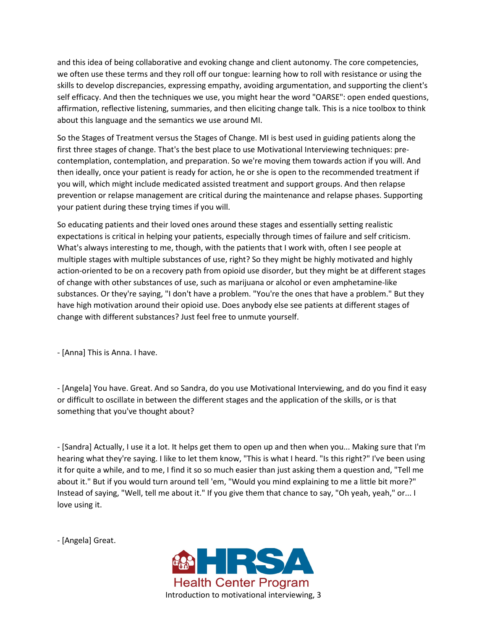and this idea of being collaborative and evoking change and client autonomy. The core competencies, we often use these terms and they roll off our tongue: learning how to roll with resistance or using the skills to develop discrepancies, expressing empathy, avoiding argumentation, and supporting the client's self efficacy. And then the techniques we use, you might hear the word "OARSE": open ended questions, affirmation, reflective listening, summaries, and then eliciting change talk. This is a nice toolbox to think about this language and the semantics we use around MI.

So the Stages of Treatment versus the Stages of Change. MI is best used in guiding patients along the first three stages of change. That's the best place to use Motivational Interviewing techniques: precontemplation, contemplation, and preparation. So we're moving them towards action if you will. And then ideally, once your patient is ready for action, he or she is open to the recommended treatment if you will, which might include medicated assisted treatment and support groups. And then relapse prevention or relapse management are critical during the maintenance and relapse phases. Supporting your patient during these trying times if you will.

So educating patients and their loved ones around these stages and essentially setting realistic expectations is critical in helping your patients, especially through times of failure and self criticism. What's always interesting to me, though, with the patients that I work with, often I see people at multiple stages with multiple substances of use, right? So they might be highly motivated and highly action-oriented to be on a recovery path from opioid use disorder, but they might be at different stages of change with other substances of use, such as marijuana or alcohol or even amphetamine-like substances. Or they're saying, "I don't have a problem. "You're the ones that have a problem." But they have high motivation around their opioid use. Does anybody else see patients at different stages of change with different substances? Just feel free to unmute yourself.

- [Anna] This is Anna. I have.

- [Angela] You have. Great. And so Sandra, do you use Motivational Interviewing, and do you find it easy or difficult to oscillate in between the different stages and the application of the skills, or is that something that you've thought about?

- [Sandra] Actually, I use it a lot. It helps get them to open up and then when you... Making sure that I'm hearing what they're saying. I like to let them know, "This is what I heard. "Is this right?" I've been using it for quite a while, and to me, I find it so so much easier than just asking them a question and, "Tell me about it." But if you would turn around tell 'em, "Would you mind explaining to me a little bit more?" Instead of saying, "Well, tell me about it." If you give them that chance to say, "Oh yeah, yeah," or... I love using it.

- [Angela] Great.

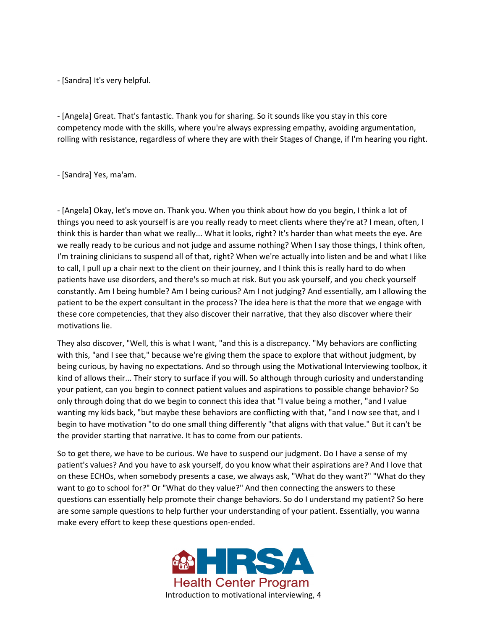- [Sandra] It's very helpful.

- [Angela] Great. That's fantastic. Thank you for sharing. So it sounds like you stay in this core competency mode with the skills, where you're always expressing empathy, avoiding argumentation, rolling with resistance, regardless of where they are with their Stages of Change, if I'm hearing you right.

## - [Sandra] Yes, ma'am.

- [Angela] Okay, let's move on. Thank you. When you think about how do you begin, I think a lot of things you need to ask yourself is are you really ready to meet clients where they're at? I mean, often, I think this is harder than what we really... What it looks, right? It's harder than what meets the eye. Are we really ready to be curious and not judge and assume nothing? When I say those things, I think often, I'm training clinicians to suspend all of that, right? When we're actually into listen and be and what I like to call, I pull up a chair next to the client on their journey, and I think this is really hard to do when patients have use disorders, and there's so much at risk. But you ask yourself, and you check yourself constantly. Am I being humble? Am I being curious? Am I not judging? And essentially, am I allowing the patient to be the expert consultant in the process? The idea here is that the more that we engage with these core competencies, that they also discover their narrative, that they also discover where their motivations lie.

They also discover, "Well, this is what I want, "and this is a discrepancy. "My behaviors are conflicting with this, "and I see that," because we're giving them the space to explore that without judgment, by being curious, by having no expectations. And so through using the Motivational Interviewing toolbox, it kind of allows their... Their story to surface if you will. So although through curiosity and understanding your patient, can you begin to connect patient values and aspirations to possible change behavior? So only through doing that do we begin to connect this idea that "I value being a mother, "and I value wanting my kids back, "but maybe these behaviors are conflicting with that, "and I now see that, and I begin to have motivation "to do one small thing differently "that aligns with that value." But it can't be the provider starting that narrative. It has to come from our patients.

So to get there, we have to be curious. We have to suspend our judgment. Do I have a sense of my patient's values? And you have to ask yourself, do you know what their aspirations are? And I love that on these ECHOs, when somebody presents a case, we always ask, "What do they want?" "What do they want to go to school for?" Or "What do they value?" And then connecting the answers to these questions can essentially help promote their change behaviors. So do I understand my patient? So here are some sample questions to help further your understanding of your patient. Essentially, you wanna make every effort to keep these questions open-ended.

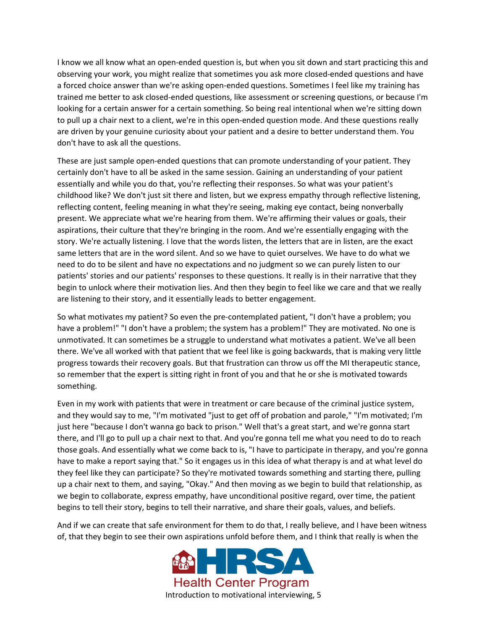I know we all know what an open-ended question is, but when you sit down and start practicing this and observing your work, you might realize that sometimes you ask more closed-ended questions and have a forced choice answer than we're asking open-ended questions. Sometimes I feel like my training has trained me better to ask closed-ended questions, like assessment or screening questions, or because I'm looking for a certain answer for a certain something. So being real intentional when we're sitting down to pull up a chair next to a client, we're in this open-ended question mode. And these questions really are driven by your genuine curiosity about your patient and a desire to better understand them. You don't have to ask all the questions.

These are just sample open-ended questions that can promote understanding of your patient. They certainly don't have to all be asked in the same session. Gaining an understanding of your patient essentially and while you do that, you're reflecting their responses. So what was your patient's childhood like? We don't just sit there and listen, but we express empathy through reflective listening, reflecting content, feeling meaning in what they're seeing, making eye contact, being nonverbally present. We appreciate what we're hearing from them. We're affirming their values or goals, their aspirations, their culture that they're bringing in the room. And we're essentially engaging with the story. We're actually listening. I love that the words listen, the letters that are in listen, are the exact same letters that are in the word silent. And so we have to quiet ourselves. We have to do what we need to do to be silent and have no expectations and no judgment so we can purely listen to our patients' stories and our patients' responses to these questions. It really is in their narrative that they begin to unlock where their motivation lies. And then they begin to feel like we care and that we really are listening to their story, and it essentially leads to better engagement.

So what motivates my patient? So even the pre-contemplated patient, "I don't have a problem; you have a problem!" "I don't have a problem; the system has a problem!" They are motivated. No one is unmotivated. It can sometimes be a struggle to understand what motivates a patient. We've all been there. We've all worked with that patient that we feel like is going backwards, that is making very little progress towards their recovery goals. But that frustration can throw us off the MI therapeutic stance, so remember that the expert is sitting right in front of you and that he or she is motivated towards something.

Even in my work with patients that were in treatment or care because of the criminal justice system, and they would say to me, "I'm motivated "just to get off of probation and parole," "I'm motivated; I'm just here "because I don't wanna go back to prison." Well that's a great start, and we're gonna start there, and I'll go to pull up a chair next to that. And you're gonna tell me what you need to do to reach those goals. And essentially what we come back to is, "I have to participate in therapy, and you're gonna have to make a report saying that." So it engages us in this idea of what therapy is and at what level do they feel like they can participate? So they're motivated towards something and starting there, pulling up a chair next to them, and saying, "Okay." And then moving as we begin to build that relationship, as we begin to collaborate, express empathy, have unconditional positive regard, over time, the patient begins to tell their story, begins to tell their narrative, and share their goals, values, and beliefs.

And if we can create that safe environment for them to do that, I really believe, and I have been witness of, that they begin to see their own aspirations unfold before them, and I think that really is when the

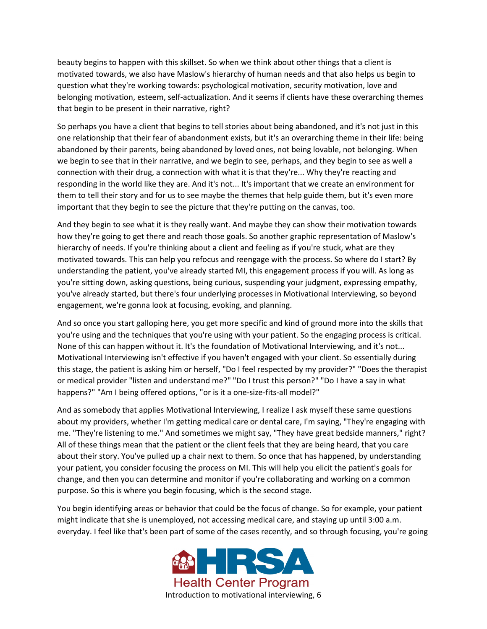beauty begins to happen with this skillset. So when we think about other things that a client is motivated towards, we also have Maslow's hierarchy of human needs and that also helps us begin to question what they're working towards: psychological motivation, security motivation, love and belonging motivation, esteem, self-actualization. And it seems if clients have these overarching themes that begin to be present in their narrative, right?

So perhaps you have a client that begins to tell stories about being abandoned, and it's not just in this one relationship that their fear of abandonment exists, but it's an overarching theme in their life: being abandoned by their parents, being abandoned by loved ones, not being lovable, not belonging. When we begin to see that in their narrative, and we begin to see, perhaps, and they begin to see as well a connection with their drug, a connection with what it is that they're... Why they're reacting and responding in the world like they are. And it's not... It's important that we create an environment for them to tell their story and for us to see maybe the themes that help guide them, but it's even more important that they begin to see the picture that they're putting on the canvas, too.

And they begin to see what it is they really want. And maybe they can show their motivation towards how they're going to get there and reach those goals. So another graphic representation of Maslow's hierarchy of needs. If you're thinking about a client and feeling as if you're stuck, what are they motivated towards. This can help you refocus and reengage with the process. So where do I start? By understanding the patient, you've already started MI, this engagement process if you will. As long as you're sitting down, asking questions, being curious, suspending your judgment, expressing empathy, you've already started, but there's four underlying processes in Motivational Interviewing, so beyond engagement, we're gonna look at focusing, evoking, and planning.

And so once you start galloping here, you get more specific and kind of ground more into the skills that you're using and the techniques that you're using with your patient. So the engaging process is critical. None of this can happen without it. It's the foundation of Motivational Interviewing, and it's not... Motivational Interviewing isn't effective if you haven't engaged with your client. So essentially during this stage, the patient is asking him or herself, "Do I feel respected by my provider?" "Does the therapist or medical provider "listen and understand me?" "Do I trust this person?" "Do I have a say in what happens?" "Am I being offered options, "or is it a one-size-fits-all model?"

And as somebody that applies Motivational Interviewing, I realize I ask myself these same questions about my providers, whether I'm getting medical care or dental care, I'm saying, "They're engaging with me. "They're listening to me." And sometimes we might say, "They have great bedside manners," right? All of these things mean that the patient or the client feels that they are being heard, that you care about their story. You've pulled up a chair next to them. So once that has happened, by understanding your patient, you consider focusing the process on MI. This will help you elicit the patient's goals for change, and then you can determine and monitor if you're collaborating and working on a common purpose. So this is where you begin focusing, which is the second stage.

You begin identifying areas or behavior that could be the focus of change. So for example, your patient might indicate that she is unemployed, not accessing medical care, and staying up until 3:00 a.m. everyday. I feel like that's been part of some of the cases recently, and so through focusing, you're going

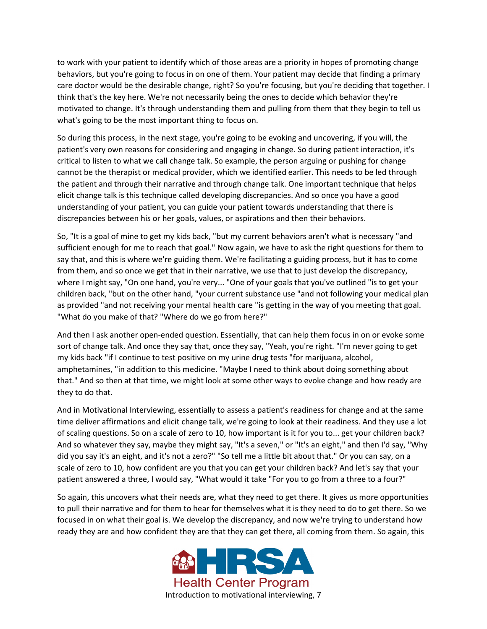to work with your patient to identify which of those areas are a priority in hopes of promoting change behaviors, but you're going to focus in on one of them. Your patient may decide that finding a primary care doctor would be the desirable change, right? So you're focusing, but you're deciding that together. I think that's the key here. We're not necessarily being the ones to decide which behavior they're motivated to change. It's through understanding them and pulling from them that they begin to tell us what's going to be the most important thing to focus on.

So during this process, in the next stage, you're going to be evoking and uncovering, if you will, the patient's very own reasons for considering and engaging in change. So during patient interaction, it's critical to listen to what we call change talk. So example, the person arguing or pushing for change cannot be the therapist or medical provider, which we identified earlier. This needs to be led through the patient and through their narrative and through change talk. One important technique that helps elicit change talk is this technique called developing discrepancies. And so once you have a good understanding of your patient, you can guide your patient towards understanding that there is discrepancies between his or her goals, values, or aspirations and then their behaviors.

So, "It is a goal of mine to get my kids back, "but my current behaviors aren't what is necessary "and sufficient enough for me to reach that goal." Now again, we have to ask the right questions for them to say that, and this is where we're guiding them. We're facilitating a guiding process, but it has to come from them, and so once we get that in their narrative, we use that to just develop the discrepancy, where I might say, "On one hand, you're very... "One of your goals that you've outlined "is to get your children back, "but on the other hand, "your current substance use "and not following your medical plan as provided "and not receiving your mental health care "is getting in the way of you meeting that goal. "What do you make of that? "Where do we go from here?"

And then I ask another open-ended question. Essentially, that can help them focus in on or evoke some sort of change talk. And once they say that, once they say, "Yeah, you're right. "I'm never going to get my kids back "if I continue to test positive on my urine drug tests "for marijuana, alcohol, amphetamines, "in addition to this medicine. "Maybe I need to think about doing something about that." And so then at that time, we might look at some other ways to evoke change and how ready are they to do that.

And in Motivational Interviewing, essentially to assess a patient's readiness for change and at the same time deliver affirmations and elicit change talk, we're going to look at their readiness. And they use a lot of scaling questions. So on a scale of zero to 10, how important is it for you to... get your children back? And so whatever they say, maybe they might say, "It's a seven," or "It's an eight," and then I'd say, "Why did you say it's an eight, and it's not a zero?" "So tell me a little bit about that." Or you can say, on a scale of zero to 10, how confident are you that you can get your children back? And let's say that your patient answered a three, I would say, "What would it take "For you to go from a three to a four?"

So again, this uncovers what their needs are, what they need to get there. It gives us more opportunities to pull their narrative and for them to hear for themselves what it is they need to do to get there. So we focused in on what their goal is. We develop the discrepancy, and now we're trying to understand how ready they are and how confident they are that they can get there, all coming from them. So again, this

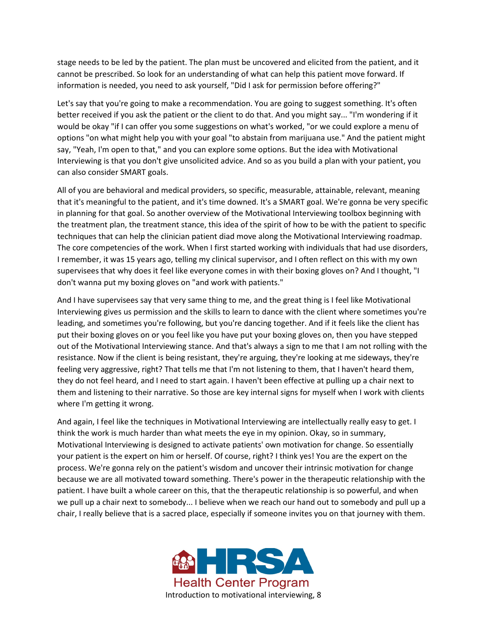stage needs to be led by the patient. The plan must be uncovered and elicited from the patient, and it cannot be prescribed. So look for an understanding of what can help this patient move forward. If information is needed, you need to ask yourself, "Did I ask for permission before offering?"

Let's say that you're going to make a recommendation. You are going to suggest something. It's often better received if you ask the patient or the client to do that. And you might say... "I'm wondering if it would be okay "if I can offer you some suggestions on what's worked, "or we could explore a menu of options "on what might help you with your goal "to abstain from marijuana use." And the patient might say, "Yeah, I'm open to that," and you can explore some options. But the idea with Motivational Interviewing is that you don't give unsolicited advice. And so as you build a plan with your patient, you can also consider SMART goals.

All of you are behavioral and medical providers, so specific, measurable, attainable, relevant, meaning that it's meaningful to the patient, and it's time downed. It's a SMART goal. We're gonna be very specific in planning for that goal. So another overview of the Motivational Interviewing toolbox beginning with the treatment plan, the treatment stance, this idea of the spirit of how to be with the patient to specific techniques that can help the clinician patient diad move along the Motivational Interviewing roadmap. The core competencies of the work. When I first started working with individuals that had use disorders, I remember, it was 15 years ago, telling my clinical supervisor, and I often reflect on this with my own supervisees that why does it feel like everyone comes in with their boxing gloves on? And I thought, "I don't wanna put my boxing gloves on "and work with patients."

And I have supervisees say that very same thing to me, and the great thing is I feel like Motivational Interviewing gives us permission and the skills to learn to dance with the client where sometimes you're leading, and sometimes you're following, but you're dancing together. And if it feels like the client has put their boxing gloves on or you feel like you have put your boxing gloves on, then you have stepped out of the Motivational Interviewing stance. And that's always a sign to me that I am not rolling with the resistance. Now if the client is being resistant, they're arguing, they're looking at me sideways, they're feeling very aggressive, right? That tells me that I'm not listening to them, that I haven't heard them, they do not feel heard, and I need to start again. I haven't been effective at pulling up a chair next to them and listening to their narrative. So those are key internal signs for myself when I work with clients where I'm getting it wrong.

And again, I feel like the techniques in Motivational Interviewing are intellectually really easy to get. I think the work is much harder than what meets the eye in my opinion. Okay, so in summary, Motivational Interviewing is designed to activate patients' own motivation for change. So essentially your patient is the expert on him or herself. Of course, right? I think yes! You are the expert on the process. We're gonna rely on the patient's wisdom and uncover their intrinsic motivation for change because we are all motivated toward something. There's power in the therapeutic relationship with the patient. I have built a whole career on this, that the therapeutic relationship is so powerful, and when we pull up a chair next to somebody... I believe when we reach our hand out to somebody and pull up a chair, I really believe that is a sacred place, especially if someone invites you on that journey with them.

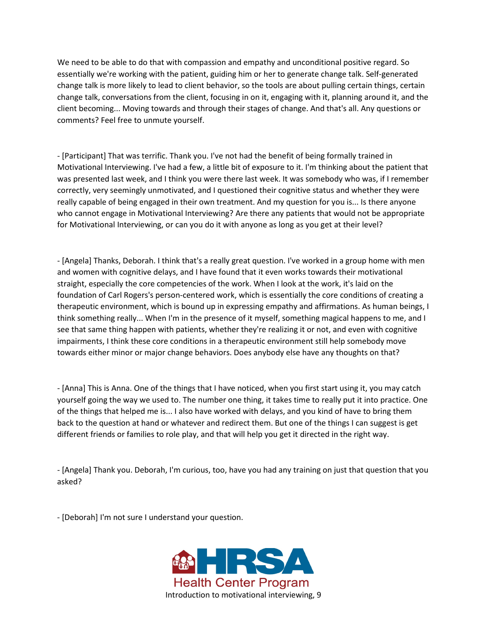We need to be able to do that with compassion and empathy and unconditional positive regard. So essentially we're working with the patient, guiding him or her to generate change talk. Self-generated change talk is more likely to lead to client behavior, so the tools are about pulling certain things, certain change talk, conversations from the client, focusing in on it, engaging with it, planning around it, and the client becoming... Moving towards and through their stages of change. And that's all. Any questions or comments? Feel free to unmute yourself.

- [Participant] That was terrific. Thank you. I've not had the benefit of being formally trained in Motivational Interviewing. I've had a few, a little bit of exposure to it. I'm thinking about the patient that was presented last week, and I think you were there last week. It was somebody who was, if I remember correctly, very seemingly unmotivated, and I questioned their cognitive status and whether they were really capable of being engaged in their own treatment. And my question for you is... Is there anyone who cannot engage in Motivational Interviewing? Are there any patients that would not be appropriate for Motivational Interviewing, or can you do it with anyone as long as you get at their level?

- [Angela] Thanks, Deborah. I think that's a really great question. I've worked in a group home with men and women with cognitive delays, and I have found that it even works towards their motivational straight, especially the core competencies of the work. When I look at the work, it's laid on the foundation of Carl Rogers's person-centered work, which is essentially the core conditions of creating a therapeutic environment, which is bound up in expressing empathy and affirmations. As human beings, I think something really... When I'm in the presence of it myself, something magical happens to me, and I see that same thing happen with patients, whether they're realizing it or not, and even with cognitive impairments, I think these core conditions in a therapeutic environment still help somebody move towards either minor or major change behaviors. Does anybody else have any thoughts on that?

- [Anna] This is Anna. One of the things that I have noticed, when you first start using it, you may catch yourself going the way we used to. The number one thing, it takes time to really put it into practice. One of the things that helped me is... I also have worked with delays, and you kind of have to bring them back to the question at hand or whatever and redirect them. But one of the things I can suggest is get different friends or families to role play, and that will help you get it directed in the right way.

- [Angela] Thank you. Deborah, I'm curious, too, have you had any training on just that question that you asked?

- [Deborah] I'm not sure I understand your question.